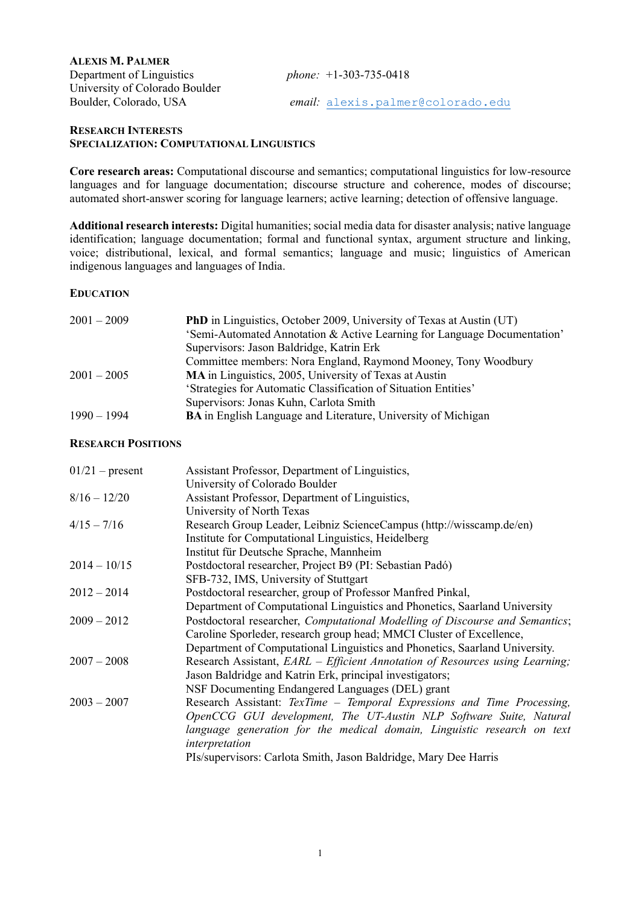| <b>ALEXIS M. PALMER</b>        |                                   |
|--------------------------------|-----------------------------------|
| Department of Linguistics      | phone: $+1-303-735-0418$          |
| University of Colorado Boulder |                                   |
| Boulder, Colorado, USA         | email: alexis.palmer@colorado.edu |

#### **RESEARCH INTERESTS SPECIALIZATION: COMPUTATIONAL LINGUISTICS**

**Core research areas:** Computational discourse and semantics; computational linguistics for low-resource languages and for language documentation; discourse structure and coherence, modes of discourse; automated short-answer scoring for language learners; active learning; detection of offensive language.

**Additional research interests:** Digital humanities; social media data for disaster analysis; native language identification; language documentation; formal and functional syntax, argument structure and linking, voice; distributional, lexical, and formal semantics; language and music; linguistics of American indigenous languages and languages of India.

### **EDUCATION**

| $2001 - 2009$ | <b>PhD</b> in Linguistics, October 2009, University of Texas at Austin (UT) |
|---------------|-----------------------------------------------------------------------------|
|               | 'Semi-Automated Annotation & Active Learning for Language Documentation'    |
|               | Supervisors: Jason Baldridge, Katrin Erk                                    |
|               | Committee members: Nora England, Raymond Mooney, Tony Woodbury              |
| $2001 - 2005$ | MA in Linguistics, 2005, University of Texas at Austin                      |
|               | 'Strategies for Automatic Classification of Situation Entities'             |
|               | Supervisors: Jonas Kuhn, Carlota Smith                                      |
| $1990 - 1994$ | <b>BA</b> in English Language and Literature, University of Michigan        |

### **RESEARCH POSITIONS**

| $01/21$ – present | Assistant Professor, Department of Linguistics,                              |
|-------------------|------------------------------------------------------------------------------|
|                   | University of Colorado Boulder                                               |
| $8/16 - 12/20$    | Assistant Professor, Department of Linguistics,                              |
|                   | University of North Texas                                                    |
| $4/15 - 7/16$     | Research Group Leader, Leibniz ScienceCampus (http://wisscamp.de/en)         |
|                   | Institute for Computational Linguistics, Heidelberg                          |
|                   | Institut für Deutsche Sprache, Mannheim                                      |
| $2014 - 10/15$    | Postdoctoral researcher, Project B9 (PI: Sebastian Padó)                     |
|                   | SFB-732, IMS, University of Stuttgart                                        |
| $2012 - 2014$     | Postdoctoral researcher, group of Professor Manfred Pinkal,                  |
|                   | Department of Computational Linguistics and Phonetics, Saarland University   |
| $2009 - 2012$     | Postdoctoral researcher, Computational Modelling of Discourse and Semantics; |
|                   | Caroline Sporleder, research group head; MMCI Cluster of Excellence,         |
|                   | Department of Computational Linguistics and Phonetics, Saarland University.  |
| $2007 - 2008$     | Research Assistant, EARL – Efficient Annotation of Resources using Learning; |
|                   | Jason Baldridge and Katrin Erk, principal investigators;                     |
|                   | NSF Documenting Endangered Languages (DEL) grant                             |
| $2003 - 2007$     | Research Assistant: TexTime - Temporal Expressions and Time Processing,      |
|                   | OpenCCG GUI development, The UT-Austin NLP Software Suite, Natural           |
|                   | language generation for the medical domain, Linguistic research on text      |
|                   | interpretation                                                               |
|                   | PIs/supervisors: Carlota Smith, Jason Baldridge, Mary Dee Harris             |
|                   |                                                                              |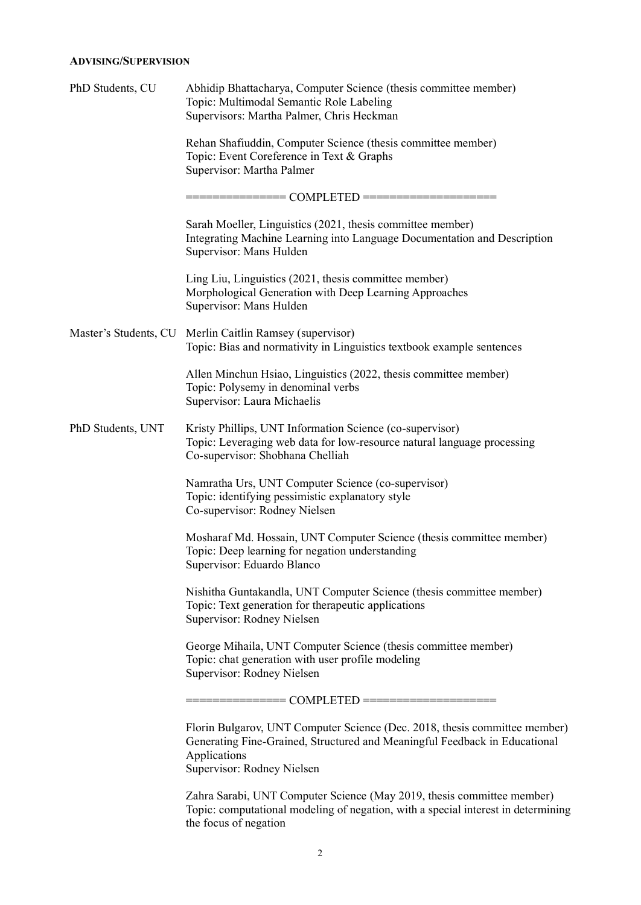### **ADVISING/SUPERVISION**

| PhD Students, CU      | Abhidip Bhattacharya, Computer Science (thesis committee member)<br>Topic: Multimodal Semantic Role Labeling<br>Supervisors: Martha Palmer, Chris Heckman                                              |
|-----------------------|--------------------------------------------------------------------------------------------------------------------------------------------------------------------------------------------------------|
|                       | Rehan Shafiuddin, Computer Science (thesis committee member)<br>Topic: Event Coreference in Text & Graphs<br>Supervisor: Martha Palmer                                                                 |
|                       |                                                                                                                                                                                                        |
|                       | Sarah Moeller, Linguistics (2021, thesis committee member)<br>Integrating Machine Learning into Language Documentation and Description<br>Supervisor: Mans Hulden                                      |
|                       | Ling Liu, Linguistics (2021, thesis committee member)<br>Morphological Generation with Deep Learning Approaches<br>Supervisor: Mans Hulden                                                             |
| Master's Students, CU | Merlin Caitlin Ramsey (supervisor)<br>Topic: Bias and normativity in Linguistics textbook example sentences                                                                                            |
|                       | Allen Minchun Hsiao, Linguistics (2022, thesis committee member)<br>Topic: Polysemy in denominal verbs<br>Supervisor: Laura Michaelis                                                                  |
| PhD Students, UNT     | Kristy Phillips, UNT Information Science (co-supervisor)<br>Topic: Leveraging web data for low-resource natural language processing<br>Co-supervisor: Shobhana Chelliah                                |
|                       | Namratha Urs, UNT Computer Science (co-supervisor)<br>Topic: identifying pessimistic explanatory style<br>Co-supervisor: Rodney Nielsen                                                                |
|                       | Mosharaf Md. Hossain, UNT Computer Science (thesis committee member)<br>Topic: Deep learning for negation understanding<br>Supervisor: Eduardo Blanco                                                  |
|                       | Nishitha Guntakandla, UNT Computer Science (thesis committee member)<br>Topic: Text generation for therapeutic applications<br>Supervisor: Rodney Nielsen                                              |
|                       | George Mihaila, UNT Computer Science (thesis committee member)<br>Topic: chat generation with user profile modeling<br>Supervisor: Rodney Nielsen                                                      |
|                       |                                                                                                                                                                                                        |
|                       | Florin Bulgarov, UNT Computer Science (Dec. 2018, thesis committee member)<br>Generating Fine-Grained, Structured and Meaningful Feedback in Educational<br>Applications<br>Supervisor: Rodney Nielsen |
|                       | Zahra Sarabi, UNT Computer Science (May 2019, thesis committee member)<br>Topic: computational modeling of negation, with a special interest in determining<br>the focus of negation                   |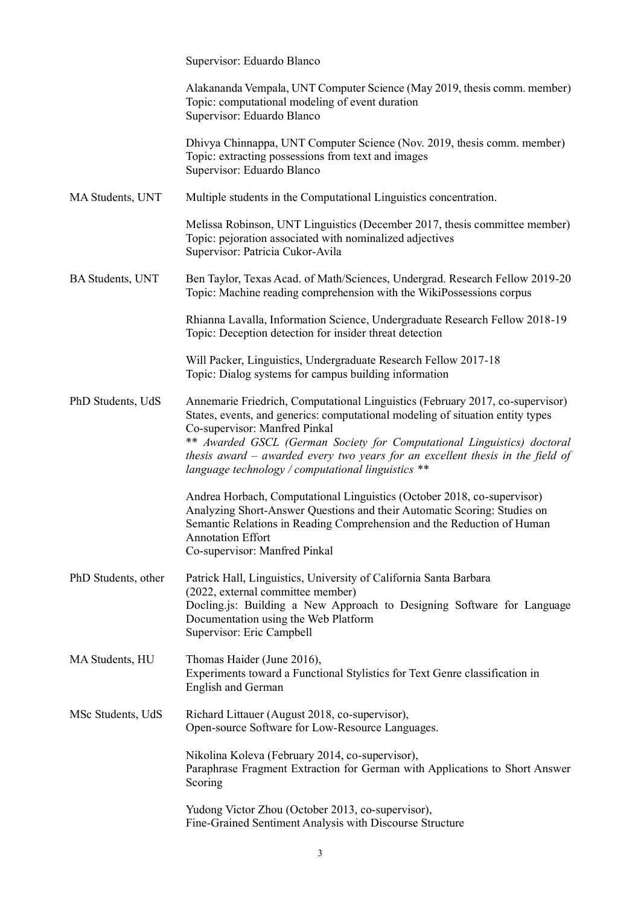|                         | Supervisor: Eduardo Blanco                                                                                                                                                                                                                                                                                                                                                                                            |
|-------------------------|-----------------------------------------------------------------------------------------------------------------------------------------------------------------------------------------------------------------------------------------------------------------------------------------------------------------------------------------------------------------------------------------------------------------------|
|                         | Alakananda Vempala, UNT Computer Science (May 2019, thesis comm. member)<br>Topic: computational modeling of event duration<br>Supervisor: Eduardo Blanco                                                                                                                                                                                                                                                             |
|                         | Dhivya Chinnappa, UNT Computer Science (Nov. 2019, thesis comm. member)<br>Topic: extracting possessions from text and images<br>Supervisor: Eduardo Blanco                                                                                                                                                                                                                                                           |
| MA Students, UNT        | Multiple students in the Computational Linguistics concentration.                                                                                                                                                                                                                                                                                                                                                     |
|                         | Melissa Robinson, UNT Linguistics (December 2017, thesis committee member)<br>Topic: pejoration associated with nominalized adjectives<br>Supervisor: Patricia Cukor-Avila                                                                                                                                                                                                                                            |
| <b>BA Students, UNT</b> | Ben Taylor, Texas Acad. of Math/Sciences, Undergrad. Research Fellow 2019-20<br>Topic: Machine reading comprehension with the WikiPossessions corpus                                                                                                                                                                                                                                                                  |
|                         | Rhianna Lavalla, Information Science, Undergraduate Research Fellow 2018-19<br>Topic: Deception detection for insider threat detection                                                                                                                                                                                                                                                                                |
|                         | Will Packer, Linguistics, Undergraduate Research Fellow 2017-18<br>Topic: Dialog systems for campus building information                                                                                                                                                                                                                                                                                              |
| PhD Students, UdS       | Annemarie Friedrich, Computational Linguistics (February 2017, co-supervisor)<br>States, events, and generics: computational modeling of situation entity types<br>Co-supervisor: Manfred Pinkal<br>** Awarded GSCL (German Society for Computational Linguistics) doctoral<br>thesis award $-$ awarded every two years for an excellent thesis in the field of<br>language technology / computational linguistics ** |
|                         | Andrea Horbach, Computational Linguistics (October 2018, co-supervisor)<br>Analyzing Short-Answer Questions and their Automatic Scoring: Studies on<br>Semantic Relations in Reading Comprehension and the Reduction of Human<br><b>Annotation Effort</b><br>Co-supervisor: Manfred Pinkal                                                                                                                            |
| PhD Students, other     | Patrick Hall, Linguistics, University of California Santa Barbara<br>(2022, external committee member)<br>Docling.js: Building a New Approach to Designing Software for Language<br>Documentation using the Web Platform<br>Supervisor: Eric Campbell                                                                                                                                                                 |
| MA Students, HU         | Thomas Haider (June 2016),<br>Experiments toward a Functional Stylistics for Text Genre classification in<br>English and German                                                                                                                                                                                                                                                                                       |
| MSc Students, UdS       | Richard Littauer (August 2018, co-supervisor),<br>Open-source Software for Low-Resource Languages.                                                                                                                                                                                                                                                                                                                    |
|                         | Nikolina Koleva (February 2014, co-supervisor),<br>Paraphrase Fragment Extraction for German with Applications to Short Answer<br>Scoring                                                                                                                                                                                                                                                                             |
|                         | Yudong Victor Zhou (October 2013, co-supervisor),<br>Fine-Grained Sentiment Analysis with Discourse Structure                                                                                                                                                                                                                                                                                                         |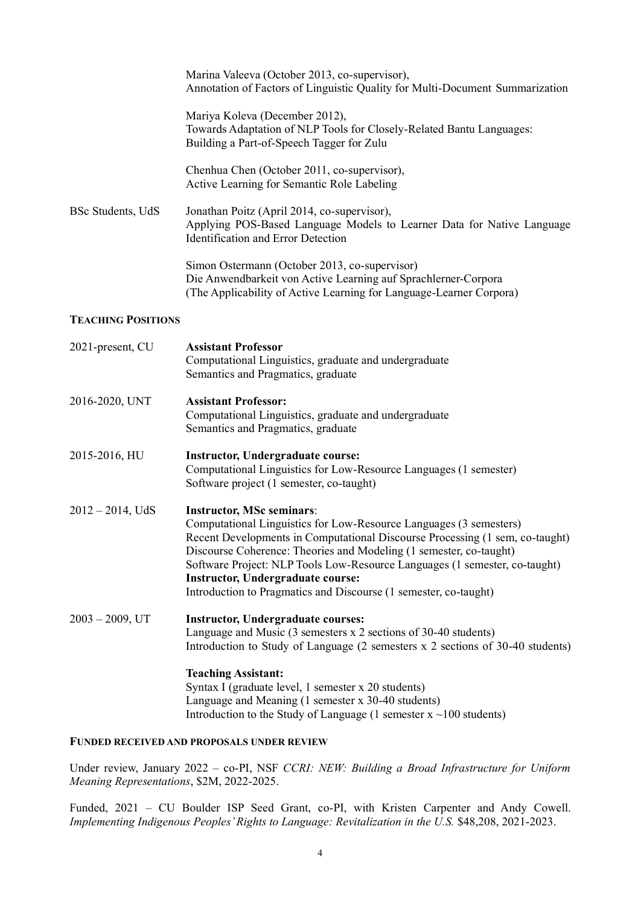|                           | Marina Valeeva (October 2013, co-supervisor),<br>Annotation of Factors of Linguistic Quality for Multi-Document Summarization                                                                                                                                                                                                                                                                                                                              |
|---------------------------|------------------------------------------------------------------------------------------------------------------------------------------------------------------------------------------------------------------------------------------------------------------------------------------------------------------------------------------------------------------------------------------------------------------------------------------------------------|
|                           | Mariya Koleva (December 2012),<br>Towards Adaptation of NLP Tools for Closely-Related Bantu Languages:<br>Building a Part-of-Speech Tagger for Zulu                                                                                                                                                                                                                                                                                                        |
|                           | Chenhua Chen (October 2011, co-supervisor),<br>Active Learning for Semantic Role Labeling                                                                                                                                                                                                                                                                                                                                                                  |
| BSc Students, UdS         | Jonathan Poitz (April 2014, co-supervisor),<br>Applying POS-Based Language Models to Learner Data for Native Language<br><b>Identification and Error Detection</b>                                                                                                                                                                                                                                                                                         |
|                           | Simon Ostermann (October 2013, co-supervisor)<br>Die Anwendbarkeit von Active Learning auf Sprachlerner-Corpora<br>(The Applicability of Active Learning for Language-Learner Corpora)                                                                                                                                                                                                                                                                     |
| <b>TEACHING POSITIONS</b> |                                                                                                                                                                                                                                                                                                                                                                                                                                                            |
| 2021-present, CU          | <b>Assistant Professor</b><br>Computational Linguistics, graduate and undergraduate<br>Semantics and Pragmatics, graduate                                                                                                                                                                                                                                                                                                                                  |
| 2016-2020, UNT            | <b>Assistant Professor:</b><br>Computational Linguistics, graduate and undergraduate<br>Semantics and Pragmatics, graduate                                                                                                                                                                                                                                                                                                                                 |
| 2015-2016, HU             | <b>Instructor, Undergraduate course:</b><br>Computational Linguistics for Low-Resource Languages (1 semester)<br>Software project (1 semester, co-taught)                                                                                                                                                                                                                                                                                                  |
| $2012 - 2014$ , UdS       | <b>Instructor, MSc seminars:</b><br>Computational Linguistics for Low-Resource Languages (3 semesters)<br>Recent Developments in Computational Discourse Processing (1 sem, co-taught)<br>Discourse Coherence: Theories and Modeling (1 semester, co-taught)<br>Software Project: NLP Tools Low-Resource Languages (1 semester, co-taught)<br><b>Instructor, Undergraduate course:</b><br>Introduction to Pragmatics and Discourse (1 semester, co-taught) |
| $2003 - 2009$ , UT        | <b>Instructor, Undergraduate courses:</b><br>Language and Music $(3$ semesters $x$ 2 sections of 30-40 students)<br>Introduction to Study of Language (2 semesters x 2 sections of 30-40 students)                                                                                                                                                                                                                                                         |
|                           | <b>Teaching Assistant:</b><br>Syntax I (graduate level, 1 semester x 20 students)<br>Language and Meaning (1 semester x 30-40 students)<br>Introduction to the Study of Language (1 semester $x \sim 100$ students)                                                                                                                                                                                                                                        |
|                           | <b>FUNDED RECEIVED AND PROPOSALS UNDER REVIEW</b>                                                                                                                                                                                                                                                                                                                                                                                                          |
|                           | Under review, January 2022 – co-PI, NSF CCRI: NEW: Building a Broad Infrastructure for Uniform                                                                                                                                                                                                                                                                                                                                                             |

Funded, 2021 – CU Boulder ISP Seed Grant, co-PI, with Kristen Carpenter and Andy Cowell. *Implementing Indigenous Peoples' Rights to Language: Revitalization in the U.S.* \$48,208, 2021-2023.

*Meaning Representations*, \$2M, 2022-2025.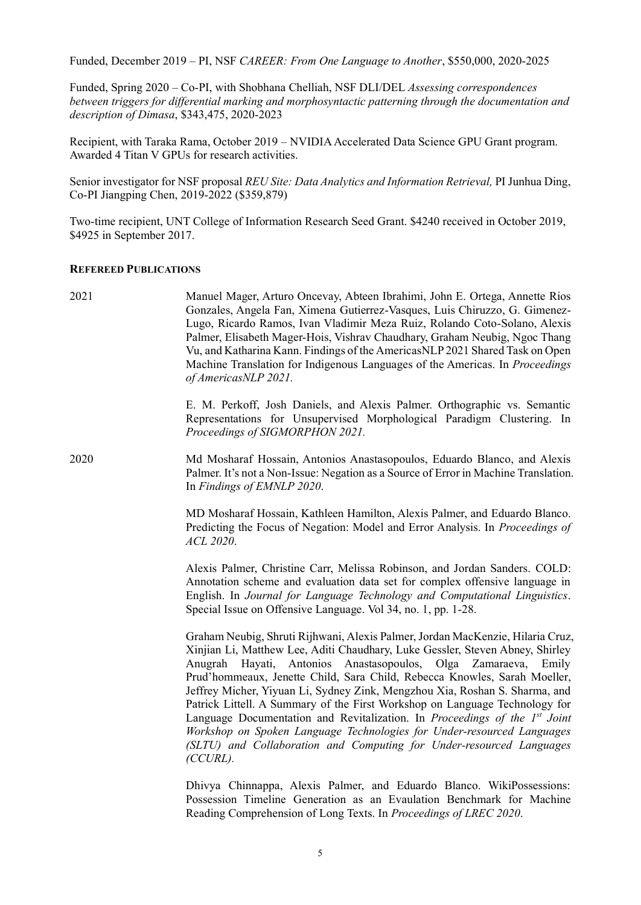Funded, December 2019 – PI, NSF *CAREER: From One Language to Another*, \$550,000, 2020-2025

Funded, Spring 2020 – Co-PI, with Shobhana Chelliah, NSF DLI/DEL *Assessing correspondences between triggers for differential marking and morphosyntactic patterning through the documentation and description of Dimasa*, \$343,475, 2020-2023

Recipient, with Taraka Rama, October 2019 – NVIDIA Accelerated Data Science GPU Grant program. Awarded 4 Titan V GPUs for research activities.

Senior investigator for NSF proposal *REU Site: Data Analytics and Information Retrieval,* PI Junhua Ding, Co-PI Jiangping Chen, 2019-2022 (\$359,879)

Two-time recipient, UNT College of Information Research Seed Grant. \$4240 received in October 2019, \$4925 in September 2017.

#### **REFEREED PUBLICATIONS**

| 2021 | Manuel Mager, Arturo Oncevay, Abteen Ibrahimi, John E. Ortega, Annette Rios<br>Gonzales, Angela Fan, Ximena Gutierrez-Vasques, Luis Chiruzzo, G. Gimenez-<br>Lugo, Ricardo Ramos, Ivan Vladimir Meza Ruiz, Rolando Coto-Solano, Alexis<br>Palmer, Elisabeth Mager-Hois, Vishrav Chaudhary, Graham Neubig, Ngoc Thang<br>Vu, and Katharina Kann. Findings of the AmericasNLP 2021 Shared Task on Open<br>Machine Translation for Indigenous Languages of the Americas. In Proceedings<br>of AmericasNLP 2021.                                                                                                                                                                                                                |
|------|-----------------------------------------------------------------------------------------------------------------------------------------------------------------------------------------------------------------------------------------------------------------------------------------------------------------------------------------------------------------------------------------------------------------------------------------------------------------------------------------------------------------------------------------------------------------------------------------------------------------------------------------------------------------------------------------------------------------------------|
|      | E. M. Perkoff, Josh Daniels, and Alexis Palmer. Orthographic vs. Semantic<br>Representations for Unsupervised Morphological Paradigm Clustering. In<br>Proceedings of SIGMORPHON 2021.                                                                                                                                                                                                                                                                                                                                                                                                                                                                                                                                      |
| 2020 | Md Mosharaf Hossain, Antonios Anastasopoulos, Eduardo Blanco, and Alexis<br>Palmer. It's not a Non-Issue: Negation as a Source of Error in Machine Translation.<br>In Findings of EMNLP 2020.                                                                                                                                                                                                                                                                                                                                                                                                                                                                                                                               |
|      | MD Mosharaf Hossain, Kathleen Hamilton, Alexis Palmer, and Eduardo Blanco.<br>Predicting the Focus of Negation: Model and Error Analysis. In Proceedings of<br>ACL 2020.                                                                                                                                                                                                                                                                                                                                                                                                                                                                                                                                                    |
|      | Alexis Palmer, Christine Carr, Melissa Robinson, and Jordan Sanders. COLD:<br>Annotation scheme and evaluation data set for complex offensive language in<br>English. In Journal for Language Technology and Computational Linguistics.<br>Special Issue on Offensive Language. Vol 34, no. 1, pp. 1-28.                                                                                                                                                                                                                                                                                                                                                                                                                    |
|      | Graham Neubig, Shruti Rijhwani, Alexis Palmer, Jordan MacKenzie, Hilaria Cruz,<br>Xinjian Li, Matthew Lee, Aditi Chaudhary, Luke Gessler, Steven Abney, Shirley<br>Anugrah Hayati, Antonios Anastasopoulos, Olga Zamaraeva, Emily<br>Prud'hommeaux, Jenette Child, Sara Child, Rebecca Knowles, Sarah Moeller,<br>Jeffrey Micher, Yiyuan Li, Sydney Zink, Mengzhou Xia, Roshan S. Sharma, and<br>Patrick Littell. A Summary of the First Workshop on Language Technology for<br>Language Documentation and Revitalization. In Proceedings of the 1st Joint<br>Workshop on Spoken Language Technologies for Under-resourced Languages<br>(SLTU) and Collaboration and Computing for Under-resourced Languages<br>$(CCURL)$ . |
|      | Dhivya Chinnappa, Alexis Palmer, and Eduardo Blanco. WikiPossessions:<br>Possession Timeline Generation as an Evaulation Benchmark for Machine<br>Reading Comprehension of Long Texts. In Proceedings of LREC 2020.                                                                                                                                                                                                                                                                                                                                                                                                                                                                                                         |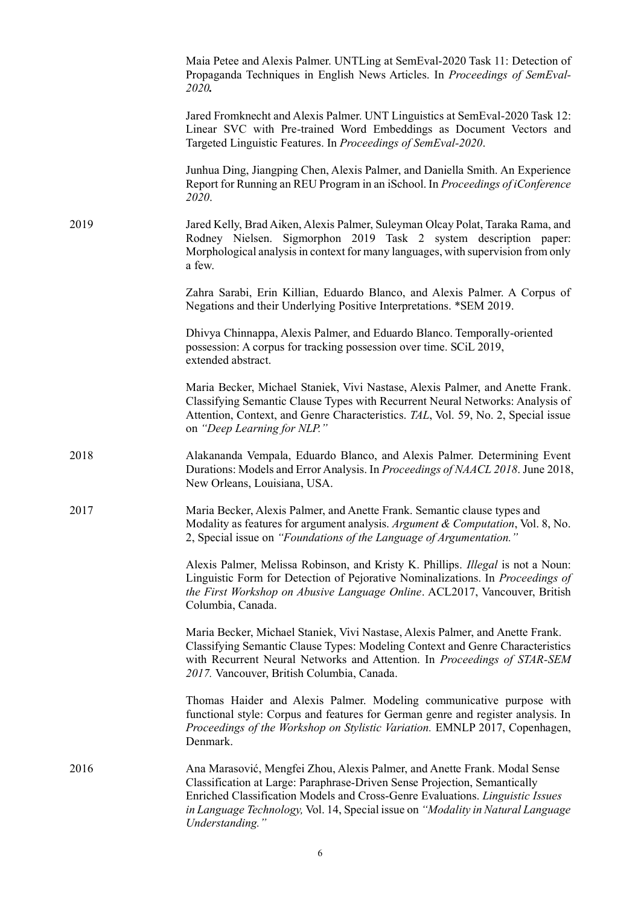|      | Maia Petee and Alexis Palmer. UNTLing at SemEval-2020 Task 11: Detection of<br>Propaganda Techniques in English News Articles. In Proceedings of SemEval-<br>2020.                                                                                                                                                                            |
|------|-----------------------------------------------------------------------------------------------------------------------------------------------------------------------------------------------------------------------------------------------------------------------------------------------------------------------------------------------|
|      | Jared Fromknecht and Alexis Palmer. UNT Linguistics at SemEval-2020 Task 12:<br>Linear SVC with Pre-trained Word Embeddings as Document Vectors and<br>Targeted Linguistic Features. In Proceedings of SemEval-2020.                                                                                                                          |
|      | Junhua Ding, Jiangping Chen, Alexis Palmer, and Daniella Smith. An Experience<br>Report for Running an REU Program in an iSchool. In Proceedings of iConference<br>2020.                                                                                                                                                                      |
| 2019 | Jared Kelly, Brad Aiken, Alexis Palmer, Suleyman Olcay Polat, Taraka Rama, and<br>Rodney Nielsen. Sigmorphon 2019 Task 2 system description paper:<br>Morphological analysis in context for many languages, with supervision from only<br>a few.                                                                                              |
|      | Zahra Sarabi, Erin Killian, Eduardo Blanco, and Alexis Palmer. A Corpus of<br>Negations and their Underlying Positive Interpretations. *SEM 2019.                                                                                                                                                                                             |
|      | Dhivya Chinnappa, Alexis Palmer, and Eduardo Blanco. Temporally-oriented<br>possession: A corpus for tracking possession over time. SCiL 2019,<br>extended abstract.                                                                                                                                                                          |
|      | Maria Becker, Michael Staniek, Vivi Nastase, Alexis Palmer, and Anette Frank.<br>Classifying Semantic Clause Types with Recurrent Neural Networks: Analysis of<br>Attention, Context, and Genre Characteristics. TAL, Vol. 59, No. 2, Special issue<br>on "Deep Learning for NLP."                                                            |
| 2018 | Alakananda Vempala, Eduardo Blanco, and Alexis Palmer. Determining Event<br>Durations: Models and Error Analysis. In Proceedings of NAACL 2018. June 2018,<br>New Orleans, Louisiana, USA.                                                                                                                                                    |
| 2017 | Maria Becker, Alexis Palmer, and Anette Frank. Semantic clause types and<br>Modality as features for argument analysis. Argument & Computation, Vol. 8, No.<br>2, Special issue on "Foundations of the Language of Argumentation."                                                                                                            |
|      | Alexis Palmer, Melissa Robinson, and Kristy K. Phillips. Illegal is not a Noun:<br>Linguistic Form for Detection of Pejorative Nominalizations. In Proceedings of<br>the First Workshop on Abusive Language Online. ACL2017, Vancouver, British<br>Columbia, Canada.                                                                          |
|      | Maria Becker, Michael Staniek, Vivi Nastase, Alexis Palmer, and Anette Frank.<br>Classifying Semantic Clause Types: Modeling Context and Genre Characteristics<br>with Recurrent Neural Networks and Attention. In Proceedings of STAR-SEM<br>2017. Vancouver, British Columbia, Canada.                                                      |
|      | Thomas Haider and Alexis Palmer. Modeling communicative purpose with<br>functional style: Corpus and features for German genre and register analysis. In<br>Proceedings of the Workshop on Stylistic Variation. EMNLP 2017, Copenhagen,<br>Denmark.                                                                                           |
| 2016 | Ana Marasović, Mengfei Zhou, Alexis Palmer, and Anette Frank. Modal Sense<br>Classification at Large: Paraphrase-Driven Sense Projection, Semantically<br>Enriched Classification Models and Cross-Genre Evaluations. Linguistic Issues<br>in Language Technology, Vol. 14, Special issue on "Modality in Natural Language<br>Understanding." |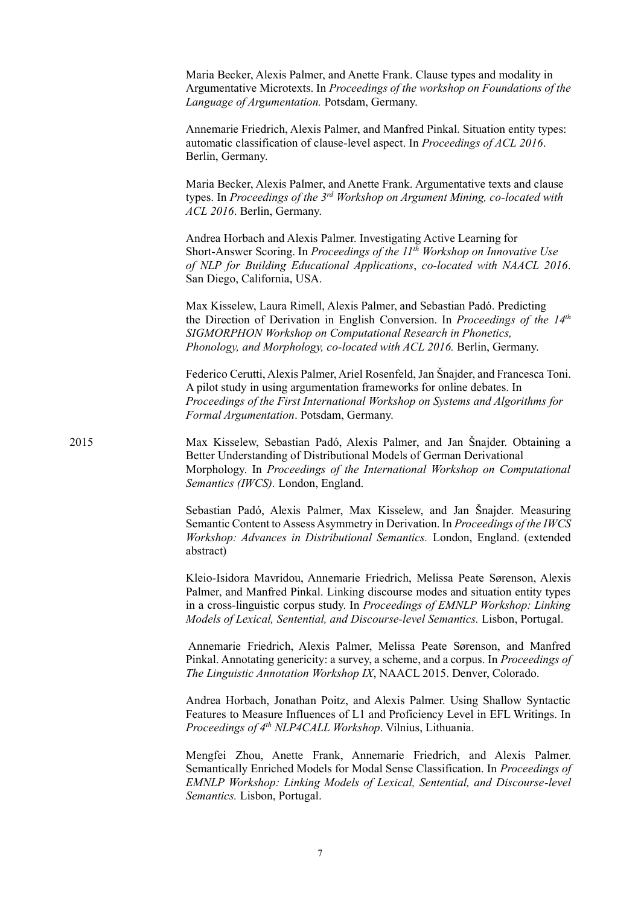|      | Maria Becker, Alexis Palmer, and Anette Frank. Clause types and modality in<br>Argumentative Microtexts. In Proceedings of the workshop on Foundations of the<br>Language of Argumentation. Potsdam, Germany.                                                                                                                     |
|------|-----------------------------------------------------------------------------------------------------------------------------------------------------------------------------------------------------------------------------------------------------------------------------------------------------------------------------------|
|      | Annemarie Friedrich, Alexis Palmer, and Manfred Pinkal. Situation entity types:<br>automatic classification of clause-level aspect. In Proceedings of ACL 2016.<br>Berlin, Germany.                                                                                                                                               |
|      | Maria Becker, Alexis Palmer, and Anette Frank. Argumentative texts and clause<br>types. In Proceedings of the 3rd Workshop on Argument Mining, co-located with<br>ACL 2016. Berlin, Germany.                                                                                                                                      |
|      | Andrea Horbach and Alexis Palmer. Investigating Active Learning for<br>Short-Answer Scoring. In Proceedings of the 11 <sup>th</sup> Workshop on Innovative Use<br>of NLP for Building Educational Applications, co-located with NAACL 2016.<br>San Diego, California, USA.                                                        |
|      | Max Kisselew, Laura Rimell, Alexis Palmer, and Sebastian Padó. Predicting<br>the Direction of Derivation in English Conversion. In Proceedings of the $14th$<br>SIGMORPHON Workshop on Computational Research in Phonetics,<br>Phonology, and Morphology, co-located with ACL 2016. Berlin, Germany.                              |
|      | Federico Cerutti, Alexis Palmer, Ariel Rosenfeld, Jan Šnajder, and Francesca Toni.<br>A pilot study in using argumentation frameworks for online debates. In<br>Proceedings of the First International Workshop on Systems and Algorithms for<br>Formal Argumentation. Potsdam, Germany.                                          |
| 2015 | Max Kisselew, Sebastian Padó, Alexis Palmer, and Jan Šnajder. Obtaining a<br>Better Understanding of Distributional Models of German Derivational<br>Morphology. In Proceedings of the International Workshop on Computational<br>Semantics (IWCS). London, England.                                                              |
|      | Sebastian Padó, Alexis Palmer, Max Kisselew, and Jan Snajder. Measuring<br>Semantic Content to Assess Asymmetry in Derivation. In Proceedings of the IWCS<br>Workshop: Advances in Distributional Semantics. London, England. (extended<br>abstract)                                                                              |
|      | Kleio-Isidora Mavridou, Annemarie Friedrich, Melissa Peate Sørenson, Alexis<br>Palmer, and Manfred Pinkal. Linking discourse modes and situation entity types<br>in a cross-linguistic corpus study. In Proceedings of EMNLP Workshop: Linking<br>Models of Lexical, Sentential, and Discourse-level Semantics. Lisbon, Portugal. |
|      | Annemarie Friedrich, Alexis Palmer, Melissa Peate Sørenson, and Manfred<br>Pinkal. Annotating genericity: a survey, a scheme, and a corpus. In Proceedings of<br>The Linguistic Annotation Workshop IX, NAACL 2015. Denver, Colorado.                                                                                             |
|      | Andrea Horbach, Jonathan Poitz, and Alexis Palmer. Using Shallow Syntactic<br>Features to Measure Influences of L1 and Proficiency Level in EFL Writings. In<br>Proceedings of 4th NLP4CALL Workshop. Vilnius, Lithuania.                                                                                                         |
|      | Mengfei Zhou, Anette Frank, Annemarie Friedrich, and Alexis Palmer.<br>Semantically Enriched Models for Modal Sense Classification. In Proceedings of<br>EMNLP Workshop: Linking Models of Lexical, Sentential, and Discourse-level<br>Semantics. Lisbon, Portugal.                                                               |
|      |                                                                                                                                                                                                                                                                                                                                   |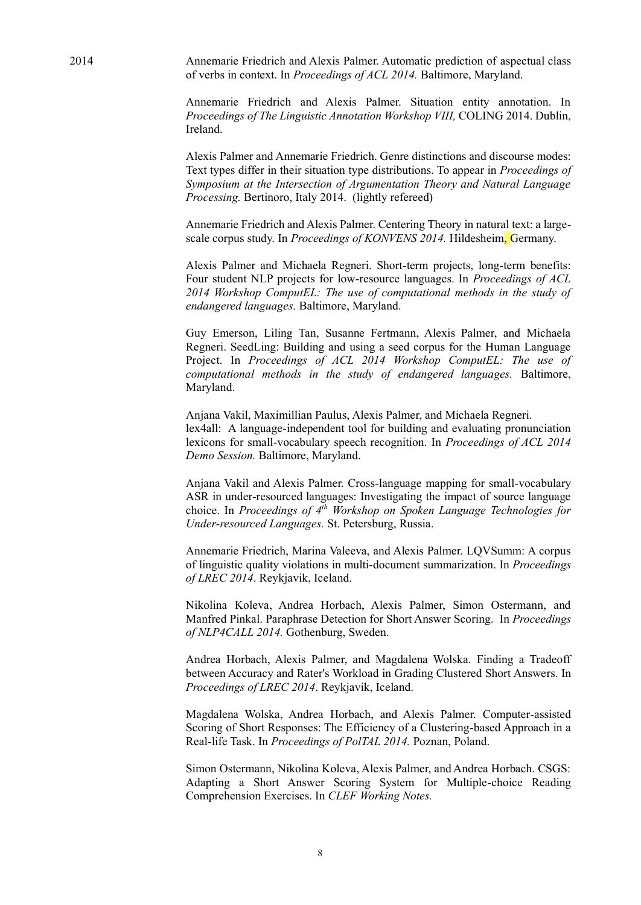2014 Annemarie Friedrich and Alexis Palmer. Automatic prediction of aspectual class of verbs in context. In *Proceedings of ACL 2014.* Baltimore, Maryland.

> Annemarie Friedrich and Alexis Palmer. Situation entity annotation. In *Proceedings of The Linguistic Annotation Workshop VIII,* COLING 2014. Dublin, Ireland.

> Alexis Palmer and Annemarie Friedrich. Genre distinctions and discourse modes: Text types differ in their situation type distributions. To appear in *Proceedings of Symposium at the Intersection of Argumentation Theory and Natural Language Processing.* Bertinoro, Italy 2014. (lightly refereed)

> Annemarie Friedrich and Alexis Palmer. Centering Theory in natural text: a largescale corpus study. In *Proceedings of KONVENS 2014.* Hildesheim, Germany.

> Alexis Palmer and Michaela Regneri. Short-term projects, long-term benefits: Four student NLP projects for low-resource languages. In *Proceedings of ACL 2014 Workshop ComputEL: The use of computational methods in the study of endangered languages.* Baltimore, Maryland.

> Guy Emerson, Liling Tan, Susanne Fertmann, Alexis Palmer, and Michaela Regneri. SeedLing: Building and using a seed corpus for the Human Language Project. In *Proceedings of ACL 2014 Workshop ComputEL: The use of computational methods in the study of endangered languages.* Baltimore, Maryland.

> Anjana Vakil, Maximillian Paulus, Alexis Palmer, and Michaela Regneri. lex4all: A language-independent tool for building and evaluating pronunciation lexicons for small-vocabulary speech recognition. In *Proceedings of ACL 2014 Demo Session.* Baltimore, Maryland.

> Anjana Vakil and Alexis Palmer. Cross-language mapping for small-vocabulary ASR in under-resourced languages: Investigating the impact of source language choice. In *Proceedings of 4th Workshop on Spoken Language Technologies for Under-resourced Languages.* St. Petersburg, Russia.

> Annemarie Friedrich, Marina Valeeva, and Alexis Palmer. LQVSumm: A corpus of linguistic quality violations in multi-document summarization. In *Proceedings of LREC 2014*. Reykjavik, Iceland.

> Nikolina Koleva, Andrea Horbach, Alexis Palmer, Simon Ostermann, and Manfred Pinkal. Paraphrase Detection for Short Answer Scoring. In *Proceedings of NLP4CALL 2014.* Gothenburg, Sweden.

> Andrea Horbach, Alexis Palmer, and Magdalena Wolska. Finding a Tradeoff between Accuracy and Rater's Workload in Grading Clustered Short Answers. In *Proceedings of LREC 2014*. Reykjavik, Iceland.

> Magdalena Wolska, Andrea Horbach, and Alexis Palmer. Computer-assisted Scoring of Short Responses: The Efficiency of a Clustering-based Approach in a Real-life Task. In *Proceedings of PolTAL 2014.* Poznan, Poland.

> Simon Ostermann, Nikolina Koleva, Alexis Palmer, and Andrea Horbach. CSGS: Adapting a Short Answer Scoring System for Multiple-choice Reading Comprehension Exercises. In *CLEF Working Notes.*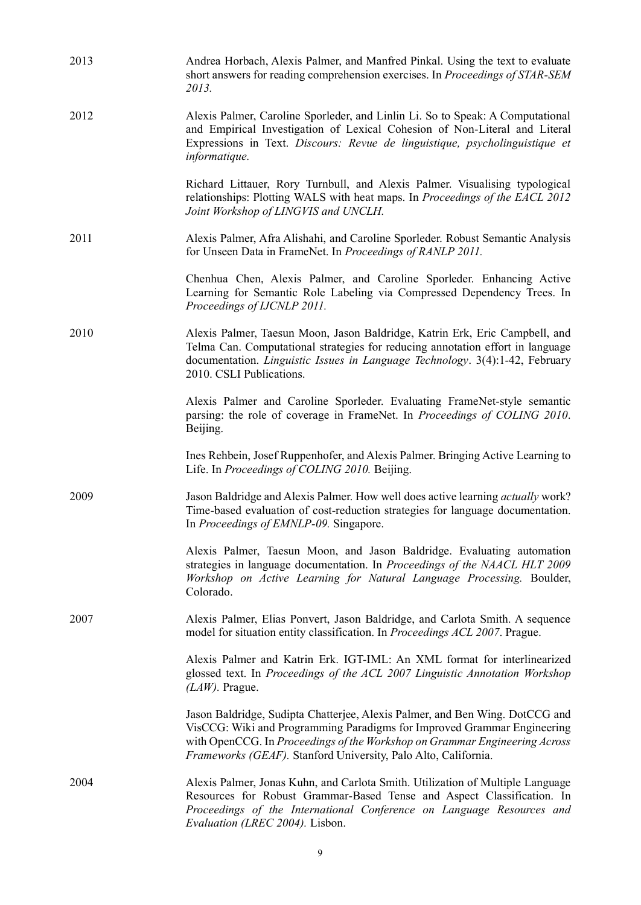| 2013 | Andrea Horbach, Alexis Palmer, and Manfred Pinkal. Using the text to evaluate<br>short answers for reading comprehension exercises. In Proceedings of STAR-SEM<br>2013.                                                                                                                                 |
|------|---------------------------------------------------------------------------------------------------------------------------------------------------------------------------------------------------------------------------------------------------------------------------------------------------------|
| 2012 | Alexis Palmer, Caroline Sporleder, and Linlin Li. So to Speak: A Computational<br>and Empirical Investigation of Lexical Cohesion of Non-Literal and Literal<br>Expressions in Text. Discours: Revue de linguistique, psycholinguistique et<br>informatique.                                            |
|      | Richard Littauer, Rory Turnbull, and Alexis Palmer. Visualising typological<br>relationships: Plotting WALS with heat maps. In Proceedings of the EACL 2012<br>Joint Workshop of LINGVIS and UNCLH.                                                                                                     |
| 2011 | Alexis Palmer, Afra Alishahi, and Caroline Sporleder. Robust Semantic Analysis<br>for Unseen Data in FrameNet. In Proceedings of RANLP 2011.                                                                                                                                                            |
|      | Chenhua Chen, Alexis Palmer, and Caroline Sporleder. Enhancing Active<br>Learning for Semantic Role Labeling via Compressed Dependency Trees. In<br>Proceedings of IJCNLP 2011.                                                                                                                         |
| 2010 | Alexis Palmer, Taesun Moon, Jason Baldridge, Katrin Erk, Eric Campbell, and<br>Telma Can. Computational strategies for reducing annotation effort in language<br>documentation. <i>Linguistic Issues in Language Technology</i> . 3(4):1-42, February<br>2010. CSLI Publications.                       |
|      | Alexis Palmer and Caroline Sporleder. Evaluating FrameNet-style semantic<br>parsing: the role of coverage in FrameNet. In Proceedings of COLING 2010.<br>Beijing.                                                                                                                                       |
|      | Ines Rehbein, Josef Ruppenhofer, and Alexis Palmer. Bringing Active Learning to<br>Life. In Proceedings of COLING 2010. Beijing.                                                                                                                                                                        |
| 2009 | Jason Baldridge and Alexis Palmer. How well does active learning <i>actually</i> work?<br>Time-based evaluation of cost-reduction strategies for language documentation.<br>In Proceedings of EMNLP-09. Singapore.                                                                                      |
|      | Alexis Palmer, Taesun Moon, and Jason Baldridge. Evaluating automation<br>strategies in language documentation. In Proceedings of the NAACL HLT 2009<br>Workshop on Active Learning for Natural Language Processing. Boulder,<br>Colorado.                                                              |
| 2007 | Alexis Palmer, Elias Ponvert, Jason Baldridge, and Carlota Smith. A sequence<br>model for situation entity classification. In Proceedings ACL 2007. Prague.                                                                                                                                             |
|      | Alexis Palmer and Katrin Erk. IGT-IML: An XML format for interlinearized<br>glossed text. In Proceedings of the ACL 2007 Linguistic Annotation Workshop<br>$(LAW)$ . Prague.                                                                                                                            |
|      | Jason Baldridge, Sudipta Chatterjee, Alexis Palmer, and Ben Wing. DotCCG and<br>VisCCG: Wiki and Programming Paradigms for Improved Grammar Engineering<br>with OpenCCG. In Proceedings of the Workshop on Grammar Engineering Across<br>Frameworks (GEAF). Stanford University, Palo Alto, California. |
| 2004 | Alexis Palmer, Jonas Kuhn, and Carlota Smith. Utilization of Multiple Language<br>Resources for Robust Grammar-Based Tense and Aspect Classification. In<br>Proceedings of the International Conference on Language Resources and<br>Evaluation (LREC 2004). Lisbon.                                    |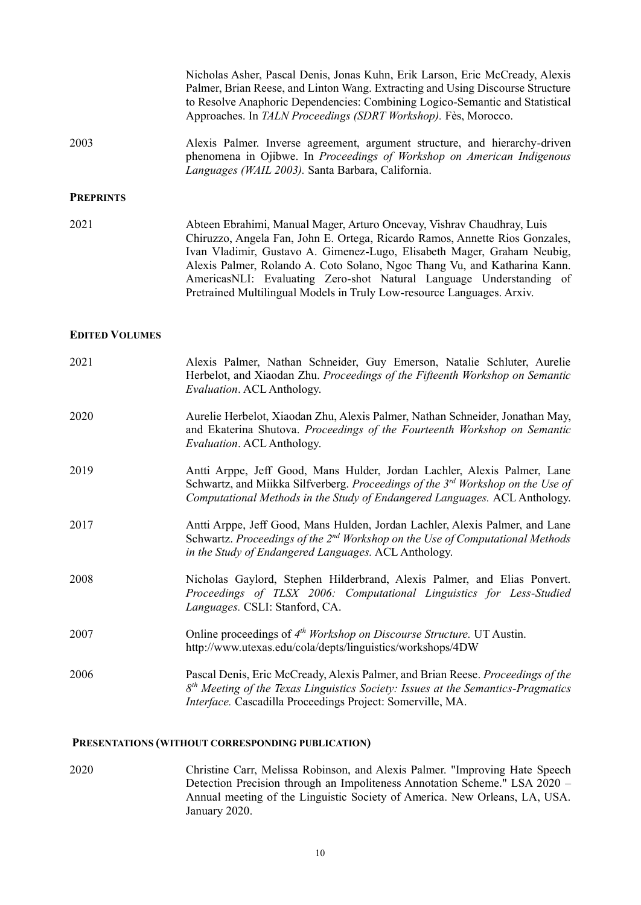|                       | Nicholas Asher, Pascal Denis, Jonas Kuhn, Erik Larson, Eric McCready, Alexis<br>Palmer, Brian Reese, and Linton Wang. Extracting and Using Discourse Structure<br>to Resolve Anaphoric Dependencies: Combining Logico-Semantic and Statistical<br>Approaches. In TALN Proceedings (SDRT Workshop). Fès, Morocco.                                                                                                                                               |
|-----------------------|----------------------------------------------------------------------------------------------------------------------------------------------------------------------------------------------------------------------------------------------------------------------------------------------------------------------------------------------------------------------------------------------------------------------------------------------------------------|
| 2003                  | Alexis Palmer. Inverse agreement, argument structure, and hierarchy-driven<br>phenomena in Ojibwe. In Proceedings of Workshop on American Indigenous<br>Languages (WAIL 2003). Santa Barbara, California.                                                                                                                                                                                                                                                      |
| <b>PREPRINTS</b>      |                                                                                                                                                                                                                                                                                                                                                                                                                                                                |
| 2021                  | Abteen Ebrahimi, Manual Mager, Arturo Oncevay, Vishrav Chaudhray, Luis<br>Chiruzzo, Angela Fan, John E. Ortega, Ricardo Ramos, Annette Rios Gonzales,<br>Ivan Vladimir, Gustavo A. Gimenez-Lugo, Elisabeth Mager, Graham Neubig,<br>Alexis Palmer, Rolando A. Coto Solano, Ngoc Thang Vu, and Katharina Kann.<br>AmericasNLI: Evaluating Zero-shot Natural Language Understanding of<br>Pretrained Multilingual Models in Truly Low-resource Languages. Arxiv. |
| <b>EDITED VOLUMES</b> |                                                                                                                                                                                                                                                                                                                                                                                                                                                                |
| 2021                  | Alexis Palmer, Nathan Schneider, Guy Emerson, Natalie Schluter, Aurelie<br>Herbelot, and Xiaodan Zhu. Proceedings of the Fifteenth Workshop on Semantic<br>Evaluation. ACL Anthology.                                                                                                                                                                                                                                                                          |
| 2020                  | Aurelie Herbelot, Xiaodan Zhu, Alexis Palmer, Nathan Schneider, Jonathan May,<br>and Ekaterina Shutova. Proceedings of the Fourteenth Workshop on Semantic<br>Evaluation. ACL Anthology.                                                                                                                                                                                                                                                                       |
| 2019                  | Antti Arppe, Jeff Good, Mans Hulder, Jordan Lachler, Alexis Palmer, Lane<br>Schwartz, and Miikka Silfverberg. Proceedings of the 3 <sup>rd</sup> Workshop on the Use of<br>Computational Methods in the Study of Endangered Languages. ACL Anthology.                                                                                                                                                                                                          |
| 2017                  | Antti Arppe, Jeff Good, Mans Hulden, Jordan Lachler, Alexis Palmer, and Lane<br>Schwartz. Proceedings of the 2 <sup>nd</sup> Workshop on the Use of Computational Methods<br>in the Study of Endangered Languages. ACL Anthology.                                                                                                                                                                                                                              |
| 2008                  | Nicholas Gaylord, Stephen Hilderbrand, Alexis Palmer, and Elias Ponvert.<br>Proceedings of TLSX 2006: Computational Linguistics for Less-Studied<br>Languages. CSLI: Stanford, CA.                                                                                                                                                                                                                                                                             |
| 2007                  | Online proceedings of 4 <sup>th</sup> Workshop on Discourse Structure. UT Austin.<br>http://www.utexas.edu/cola/depts/linguistics/workshops/4DW                                                                                                                                                                                                                                                                                                                |
| 2006                  | Pascal Denis, Eric McCready, Alexis Palmer, and Brian Reese. Proceedings of the<br>$8th$ Meeting of the Texas Linguistics Society: Issues at the Semantics-Pragmatics<br>Interface. Cascadilla Proceedings Project: Somerville, MA.                                                                                                                                                                                                                            |
|                       | PRESENTATIONS (WITHOUT CORRESPONDING PUBLICATION)                                                                                                                                                                                                                                                                                                                                                                                                              |

2020 Christine Carr, Melissa Robinson, and Alexis Palmer. "Improving Hate Speech Detection Precision through an Impoliteness Annotation Scheme." LSA 2020 – Annual meeting of the Linguistic Society of America. New Orleans, LA, USA. January 2020.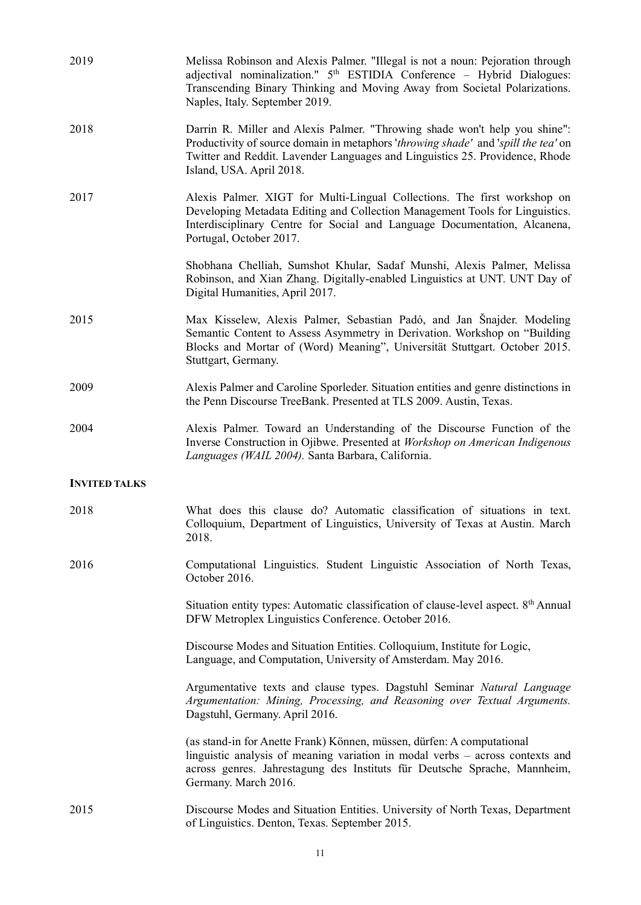| 2019                 | Melissa Robinson and Alexis Palmer. "Illegal is not a noun: Pejoration through<br>adjectival nominalization." 5 <sup>th</sup> ESTIDIA Conference - Hybrid Dialogues:<br>Transcending Binary Thinking and Moving Away from Societal Polarizations.<br>Naples, Italy. September 2019. |
|----------------------|-------------------------------------------------------------------------------------------------------------------------------------------------------------------------------------------------------------------------------------------------------------------------------------|
| 2018                 | Darrin R. Miller and Alexis Palmer. "Throwing shade won't help you shine":<br>Productivity of source domain in metaphors 'throwing shade' and 'spill the tea' on<br>Twitter and Reddit. Lavender Languages and Linguistics 25. Providence, Rhode<br>Island, USA. April 2018.        |
| 2017                 | Alexis Palmer. XIGT for Multi-Lingual Collections. The first workshop on<br>Developing Metadata Editing and Collection Management Tools for Linguistics.<br>Interdisciplinary Centre for Social and Language Documentation, Alcanena,<br>Portugal, October 2017.                    |
|                      | Shobhana Chelliah, Sumshot Khular, Sadaf Munshi, Alexis Palmer, Melissa<br>Robinson, and Xian Zhang. Digitally-enabled Linguistics at UNT. UNT Day of<br>Digital Humanities, April 2017.                                                                                            |
| 2015                 | Max Kisselew, Alexis Palmer, Sebastian Padó, and Jan Snajder. Modeling<br>Semantic Content to Assess Asymmetry in Derivation. Workshop on "Building<br>Blocks and Mortar of (Word) Meaning", Universität Stuttgart. October 2015.<br>Stuttgart, Germany.                            |
| 2009                 | Alexis Palmer and Caroline Sporleder. Situation entities and genre distinctions in<br>the Penn Discourse TreeBank. Presented at TLS 2009. Austin, Texas.                                                                                                                            |
| 2004                 | Alexis Palmer. Toward an Understanding of the Discourse Function of the<br>Inverse Construction in Ojibwe. Presented at Workshop on American Indigenous<br>Languages (WAIL 2004). Santa Barbara, California.                                                                        |
| <b>INVITED TALKS</b> |                                                                                                                                                                                                                                                                                     |
| 2018                 | What does this clause do? Automatic classification of situations in text.<br>Colloquium, Department of Linguistics, University of Texas at Austin. March<br>2018.                                                                                                                   |
| 2016                 | Computational Linguistics. Student Linguistic Association of North Texas,<br>October 2016.                                                                                                                                                                                          |
|                      | Situation entity types: Automatic classification of clause-level aspect. 8 <sup>th</sup> Annual<br>DFW Metroplex Linguistics Conference. October 2016.                                                                                                                              |
|                      | Discourse Modes and Situation Entities. Colloquium, Institute for Logic,<br>Language, and Computation, University of Amsterdam. May 2016.                                                                                                                                           |
|                      | Argumentative texts and clause types. Dagstuhl Seminar Natural Language<br>Argumentation: Mining, Processing, and Reasoning over Textual Arguments.<br>Dagstuhl, Germany. April 2016.                                                                                               |
|                      | (as stand-in for Anette Frank) Können, müssen, dürfen: A computational<br>linguistic analysis of meaning variation in modal verbs - across contexts and<br>across genres. Jahrestagung des Instituts für Deutsche Sprache, Mannheim,<br>Germany. March 2016.                        |
| 2015                 | Discourse Modes and Situation Entities. University of North Texas, Department<br>of Linguistics. Denton, Texas. September 2015.                                                                                                                                                     |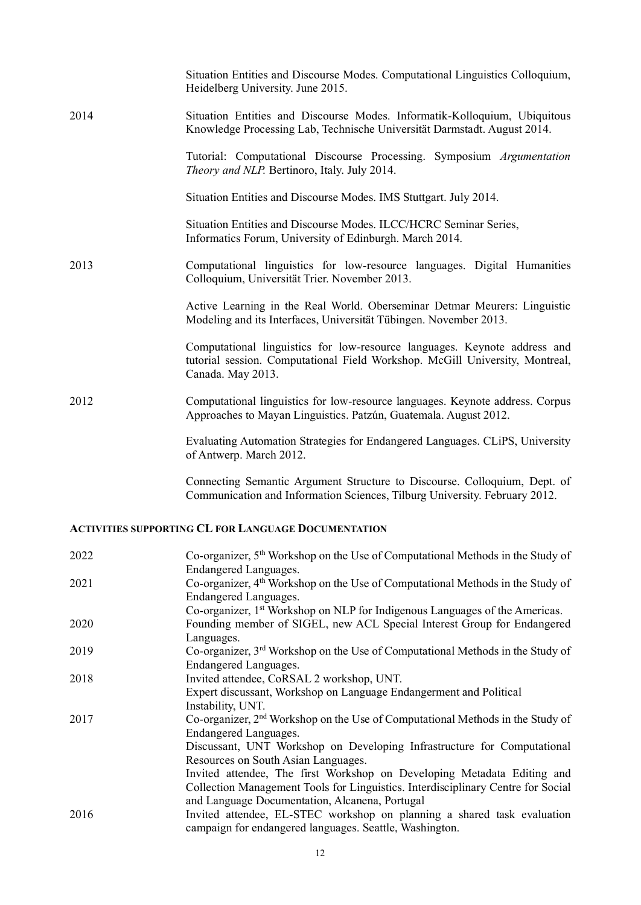|      | Situation Entities and Discourse Modes. Computational Linguistics Colloquium,<br>Heidelberg University. June 2015.                                                             |
|------|--------------------------------------------------------------------------------------------------------------------------------------------------------------------------------|
| 2014 | Situation Entities and Discourse Modes. Informatik-Kolloquium, Ubiquitous<br>Knowledge Processing Lab, Technische Universität Darmstadt. August 2014.                          |
|      | Tutorial: Computational Discourse Processing. Symposium Argumentation<br>Theory and NLP. Bertinoro, Italy. July 2014.                                                          |
|      | Situation Entities and Discourse Modes. IMS Stuttgart. July 2014.                                                                                                              |
|      | Situation Entities and Discourse Modes. ILCC/HCRC Seminar Series,<br>Informatics Forum, University of Edinburgh. March 2014.                                                   |
| 2013 | Computational linguistics for low-resource languages. Digital Humanities<br>Colloquium, Universität Trier. November 2013.                                                      |
|      | Active Learning in the Real World. Oberseminar Detmar Meurers: Linguistic<br>Modeling and its Interfaces, Universität Tübingen. November 2013.                                 |
|      | Computational linguistics for low-resource languages. Keynote address and<br>tutorial session. Computational Field Workshop. McGill University, Montreal,<br>Canada. May 2013. |
| 2012 | Computational linguistics for low-resource languages. Keynote address. Corpus<br>Approaches to Mayan Linguistics. Patzún, Guatemala. August 2012.                              |
|      | Evaluating Automation Strategies for Endangered Languages. CLiPS, University<br>of Antwerp. March 2012.                                                                        |
|      | Connecting Semantic Argument Structure to Discourse. Colloquium, Dept. of<br>Communication and Information Sciences, Tilburg University. February 2012.                        |

# **ACTIVITIES SUPPORTING CL FOR LANGUAGE DOCUMENTATION**

| 2022 | Co-organizer, 5 <sup>th</sup> Workshop on the Use of Computational Methods in the Study of |
|------|--------------------------------------------------------------------------------------------|
|      | Endangered Languages.                                                                      |
| 2021 | Co-organizer, 4 <sup>th</sup> Workshop on the Use of Computational Methods in the Study of |
|      | <b>Endangered Languages.</b>                                                               |
|      | Co-organizer, 1 <sup>st</sup> Workshop on NLP for Indigenous Languages of the Americas.    |
| 2020 | Founding member of SIGEL, new ACL Special Interest Group for Endangered                    |
|      | Languages.                                                                                 |
| 2019 | Co-organizer, 3 <sup>rd</sup> Workshop on the Use of Computational Methods in the Study of |
|      | Endangered Languages.                                                                      |
| 2018 | Invited attendee, CoRSAL 2 workshop, UNT.                                                  |
|      | Expert discussant, Workshop on Language Endangerment and Political                         |
|      | Instability, UNT.                                                                          |
| 2017 | Co-organizer, 2 <sup>nd</sup> Workshop on the Use of Computational Methods in the Study of |
|      | <b>Endangered Languages.</b>                                                               |
|      | Discussant, UNT Workshop on Developing Infrastructure for Computational                    |
|      | Resources on South Asian Languages.                                                        |
|      | Invited attendee, The first Workshop on Developing Metadata Editing and                    |
|      | Collection Management Tools for Linguistics. Interdisciplinary Centre for Social           |
|      | and Language Documentation, Alcanena, Portugal                                             |
| 2016 | Invited attendee, EL-STEC workshop on planning a shared task evaluation                    |
|      | campaign for endangered languages. Seattle, Washington.                                    |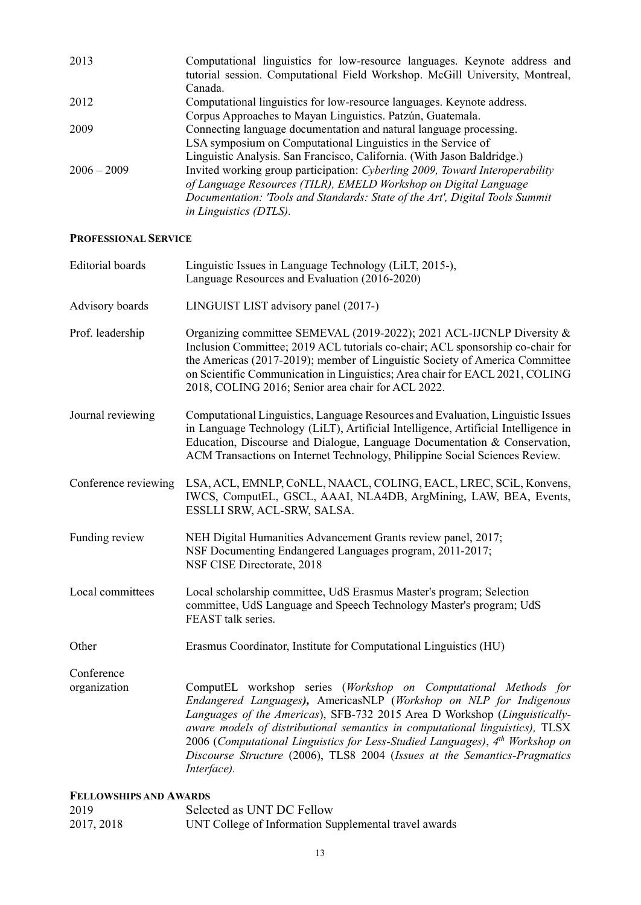| 2013          | Computational linguistics for low-resource languages. Keynote address and    |
|---------------|------------------------------------------------------------------------------|
|               | tutorial session. Computational Field Workshop. McGill University, Montreal, |
|               | Canada.                                                                      |
| 2012          | Computational linguistics for low-resource languages. Keynote address.       |
|               | Corpus Approaches to Mayan Linguistics. Patzún, Guatemala.                   |
| 2009          | Connecting language documentation and natural language processing.           |
|               | LSA symposium on Computational Linguistics in the Service of                 |
|               | Linguistic Analysis. San Francisco, California. (With Jason Baldridge.)      |
| $2006 - 2009$ | Invited working group participation: Cyberling 2009, Toward Interoperability |
|               | of Language Resources (TILR), EMELD Workshop on Digital Language             |
|               | Documentation: 'Tools and Standards: State of the Art', Digital Tools Summit |
|               | <i>in Linguistics (DTLS).</i>                                                |
|               |                                                                              |

### **PROFESSIONAL SERVICE**

| <b>Editorial</b> boards | Linguistic Issues in Language Technology (LiLT, 2015-),<br>Language Resources and Evaluation (2016-2020)                                                                                                                                                                                                                                                                                                                                                                                   |  |
|-------------------------|--------------------------------------------------------------------------------------------------------------------------------------------------------------------------------------------------------------------------------------------------------------------------------------------------------------------------------------------------------------------------------------------------------------------------------------------------------------------------------------------|--|
| Advisory boards         | LINGUIST LIST advisory panel (2017-)                                                                                                                                                                                                                                                                                                                                                                                                                                                       |  |
| Prof. leadership        | Organizing committee SEMEVAL (2019-2022); 2021 ACL-IJCNLP Diversity &<br>Inclusion Committee; 2019 ACL tutorials co-chair; ACL sponsorship co-chair for<br>the Americas (2017-2019); member of Linguistic Society of America Committee<br>on Scientific Communication in Linguistics; Area chair for EACL 2021, COLING<br>2018, COLING 2016; Senior area chair for ACL 2022.                                                                                                               |  |
| Journal reviewing       | Computational Linguistics, Language Resources and Evaluation, Linguistic Issues<br>in Language Technology (LiLT), Artificial Intelligence, Artificial Intelligence in<br>Education, Discourse and Dialogue, Language Documentation & Conservation,<br>ACM Transactions on Internet Technology, Philippine Social Sciences Review.                                                                                                                                                          |  |
| Conference reviewing    | LSA, ACL, EMNLP, CoNLL, NAACL, COLING, EACL, LREC, SCiL, Konvens,<br>IWCS, ComputEL, GSCL, AAAI, NLA4DB, ArgMining, LAW, BEA, Events,<br>ESSLLI SRW, ACL-SRW, SALSA.                                                                                                                                                                                                                                                                                                                       |  |
| Funding review          | NEH Digital Humanities Advancement Grants review panel, 2017;<br>NSF Documenting Endangered Languages program, 2011-2017;<br>NSF CISE Directorate, 2018                                                                                                                                                                                                                                                                                                                                    |  |
| Local committees        | Local scholarship committee, UdS Erasmus Master's program; Selection<br>committee, UdS Language and Speech Technology Master's program; UdS<br>FEAST talk series.                                                                                                                                                                                                                                                                                                                          |  |
| Other                   | Erasmus Coordinator, Institute for Computational Linguistics (HU)                                                                                                                                                                                                                                                                                                                                                                                                                          |  |
| Conference              |                                                                                                                                                                                                                                                                                                                                                                                                                                                                                            |  |
| organization            | ComputEL workshop series (Workshop on Computational Methods for<br>Endangered Languages), AmericasNLP (Workshop on NLP for Indigenous<br>Languages of the Americas), SFB-732 2015 Area D Workshop (Linguistically-<br>aware models of distributional semantics in computational linguistics), TLSX<br>2006 (Computational Linguistics for Less-Studied Languages), 4 <sup>th</sup> Workshop on<br>Discourse Structure (2006), TLS8 2004 (Issues at the Semantics-Pragmatics<br>Interface). |  |

## **FELLOWSHIPS AND AWARDS**

| 2019       | Selected as UNT DC Fellow                             |
|------------|-------------------------------------------------------|
| 2017, 2018 | UNT College of Information Supplemental travel awards |